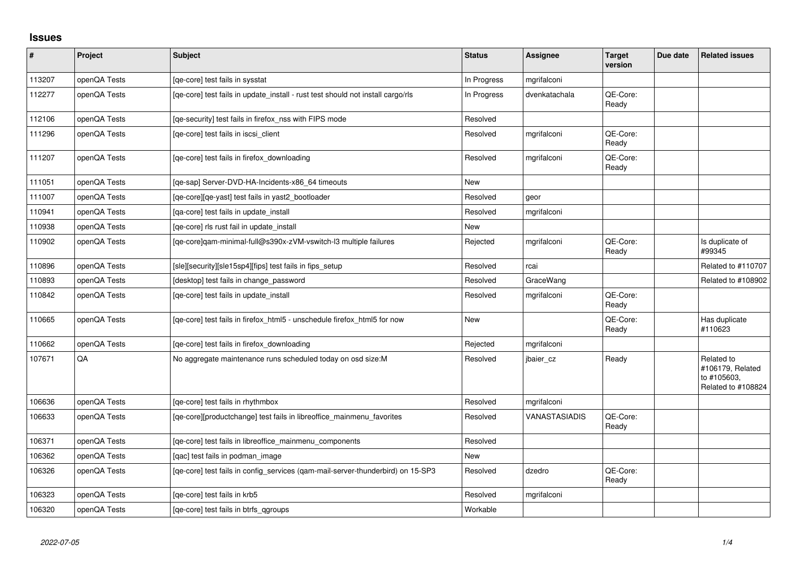## **Issues**

| #      | Project      | Subject                                                                         | <b>Status</b> | Assignee      | <b>Target</b><br>version | Due date | <b>Related issues</b>                                               |
|--------|--------------|---------------------------------------------------------------------------------|---------------|---------------|--------------------------|----------|---------------------------------------------------------------------|
| 113207 | openQA Tests | [qe-core] test fails in sysstat                                                 | In Progress   | mgrifalconi   |                          |          |                                                                     |
| 112277 | openQA Tests | [qe-core] test fails in update_install - rust test should not install cargo/rls | In Progress   | dvenkatachala | QE-Core:<br>Ready        |          |                                                                     |
| 112106 | openQA Tests | [qe-security] test fails in firefox_nss with FIPS mode                          | Resolved      |               |                          |          |                                                                     |
| 111296 | openQA Tests | [ge-core] test fails in iscsi client                                            | Resolved      | mgrifalconi   | QE-Core:<br>Ready        |          |                                                                     |
| 111207 | openQA Tests | [qe-core] test fails in firefox_downloading                                     | Resolved      | mgrifalconi   | QE-Core:<br>Ready        |          |                                                                     |
| 111051 | openQA Tests | [ge-sap] Server-DVD-HA-Incidents-x86 64 timeouts                                | New           |               |                          |          |                                                                     |
| 111007 | openQA Tests | [qe-core][qe-yast] test fails in yast2_bootloader                               | Resolved      | geor          |                          |          |                                                                     |
| 110941 | openQA Tests | [qa-core] test fails in update_install                                          | Resolved      | mgrifalconi   |                          |          |                                                                     |
| 110938 | openQA Tests | [ge-core] rls rust fail in update install                                       | New           |               |                          |          |                                                                     |
| 110902 | openQA Tests | [qe-core]qam-minimal-full@s390x-zVM-vswitch-l3 multiple failures                | Rejected      | mgrifalconi   | QE-Core:<br>Ready        |          | Is duplicate of<br>#99345                                           |
| 110896 | openQA Tests | [sle][security][sle15sp4][fips] test fails in fips_setup                        | Resolved      | rcai          |                          |          | Related to #110707                                                  |
| 110893 | openQA Tests | [desktop] test fails in change password                                         | Resolved      | GraceWang     |                          |          | Related to #108902                                                  |
| 110842 | openQA Tests | [ge-core] test fails in update install                                          | Resolved      | mgrifalconi   | QE-Core:<br>Ready        |          |                                                                     |
| 110665 | openQA Tests | [qe-core] test fails in firefox_html5 - unschedule firefox_html5 for now        | New           |               | QE-Core:<br>Ready        |          | Has duplicate<br>#110623                                            |
| 110662 | openQA Tests | [qe-core] test fails in firefox_downloading                                     | Rejected      | mgrifalconi   |                          |          |                                                                     |
| 107671 | QA           | No aggregate maintenance runs scheduled today on osd size:M                     | Resolved      | jbaier cz     | Ready                    |          | Related to<br>#106179, Related<br>to #105603,<br>Related to #108824 |
| 106636 | openQA Tests | [ge-core] test fails in rhythmbox                                               | Resolved      | mgrifalconi   |                          |          |                                                                     |
| 106633 | openQA Tests | [qe-core][productchange] test fails in libreoffice_mainmenu_favorites           | Resolved      | VANASTASIADIS | QE-Core:<br>Ready        |          |                                                                     |
| 106371 | openQA Tests | [qe-core] test fails in libreoffice_mainmenu_components                         | Resolved      |               |                          |          |                                                                     |
| 106362 | openQA Tests | [gac] test fails in podman image                                                | New           |               |                          |          |                                                                     |
| 106326 | openQA Tests | [qe-core] test fails in config_services (qam-mail-server-thunderbird) on 15-SP3 | Resolved      | dzedro        | QE-Core:<br>Ready        |          |                                                                     |
| 106323 | openQA Tests | [qe-core] test fails in krb5                                                    | Resolved      | mgrifalconi   |                          |          |                                                                     |
| 106320 | openQA Tests | [ge-core] test fails in btrfs ggroups                                           | Workable      |               |                          |          |                                                                     |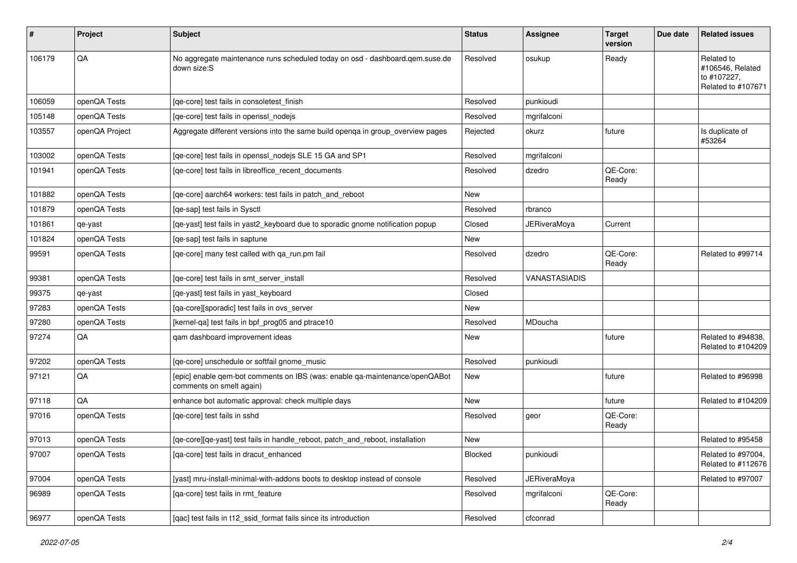| #      | Project        | <b>Subject</b>                                                                                          | <b>Status</b> | <b>Assignee</b>      | <b>Target</b><br>version | Due date | <b>Related issues</b>                                               |
|--------|----------------|---------------------------------------------------------------------------------------------------------|---------------|----------------------|--------------------------|----------|---------------------------------------------------------------------|
| 106179 | QA             | No aggregate maintenance runs scheduled today on osd - dashboard.gem.suse.de<br>down size:S             | Resolved      | osukup               | Ready                    |          | Related to<br>#106546, Related<br>to #107227,<br>Related to #107671 |
| 106059 | openQA Tests   | [qe-core] test fails in consoletest_finish                                                              | Resolved      | punkioudi            |                          |          |                                                                     |
| 105148 | openQA Tests   | [qe-core] test fails in openssl_nodejs                                                                  | Resolved      | mgrifalconi          |                          |          |                                                                     |
| 103557 | openQA Project | Aggregate different versions into the same build openga in group_overview pages                         | Rejected      | okurz                | future                   |          | Is duplicate of<br>#53264                                           |
| 103002 | openQA Tests   | [qe-core] test fails in openssl_nodejs SLE 15 GA and SP1                                                | Resolved      | mgrifalconi          |                          |          |                                                                     |
| 101941 | openQA Tests   | [qe-core] test fails in libreoffice_recent_documents                                                    | Resolved      | dzedro               | QE-Core:<br>Ready        |          |                                                                     |
| 101882 | openQA Tests   | [qe-core] aarch64 workers: test fails in patch_and_reboot                                               | New           |                      |                          |          |                                                                     |
| 101879 | openQA Tests   | [ge-sap] test fails in Sysctl                                                                           | Resolved      | rbranco              |                          |          |                                                                     |
| 101861 | qe-yast        | [qe-yast] test fails in yast2_keyboard due to sporadic gnome notification popup                         | Closed        | JERiveraMoya         | Current                  |          |                                                                     |
| 101824 | openQA Tests   | [qe-sap] test fails in saptune                                                                          | <b>New</b>    |                      |                          |          |                                                                     |
| 99591  | openQA Tests   | [qe-core] many test called with qa_run.pm fail                                                          | Resolved      | dzedro               | QE-Core:<br>Ready        |          | Related to #99714                                                   |
| 99381  | openQA Tests   | [qe-core] test fails in smt_server_install                                                              | Resolved      | <b>VANASTASIADIS</b> |                          |          |                                                                     |
| 99375  | qe-yast        | [qe-yast] test fails in yast_keyboard                                                                   | Closed        |                      |                          |          |                                                                     |
| 97283  | openQA Tests   | [qa-core][sporadic] test fails in ovs_server                                                            | New           |                      |                          |          |                                                                     |
| 97280  | openQA Tests   | [kernel-qa] test fails in bpf_prog05 and ptrace10                                                       | Resolved      | MDoucha              |                          |          |                                                                     |
| 97274  | QA             | qam dashboard improvement ideas                                                                         | New           |                      | future                   |          | Related to #94838.<br>Related to #104209                            |
| 97202  | openQA Tests   | [qe-core] unschedule or softfail gnome_music                                                            | Resolved      | punkioudi            |                          |          |                                                                     |
| 97121  | QA             | [epic] enable qem-bot comments on IBS (was: enable qa-maintenance/openQABot<br>comments on smelt again) | New           |                      | future                   |          | Related to #96998                                                   |
| 97118  | QA             | enhance bot automatic approval: check multiple days                                                     | New           |                      | future                   |          | Related to #104209                                                  |
| 97016  | openQA Tests   | [ge-core] test fails in sshd                                                                            | Resolved      | geor                 | QE-Core:<br>Ready        |          |                                                                     |
| 97013  | openQA Tests   | [qe-core][qe-yast] test fails in handle_reboot, patch_and_reboot, installation                          | New           |                      |                          |          | Related to #95458                                                   |
| 97007  | openQA Tests   | [qa-core] test fails in dracut_enhanced                                                                 | Blocked       | punkioudi            |                          |          | Related to #97004,<br>Related to #112676                            |
| 97004  | openQA Tests   | [yast] mru-install-minimal-with-addons boots to desktop instead of console                              | Resolved      | <b>JERiveraMoya</b>  |                          |          | Related to #97007                                                   |
| 96989  | openQA Tests   | [qa-core] test fails in rmt_feature                                                                     | Resolved      | mgrifalconi          | QE-Core:<br>Ready        |          |                                                                     |
| 96977  | openQA Tests   | [qac] test fails in t12_ssid_format fails since its introduction                                        | Resolved      | cfconrad             |                          |          |                                                                     |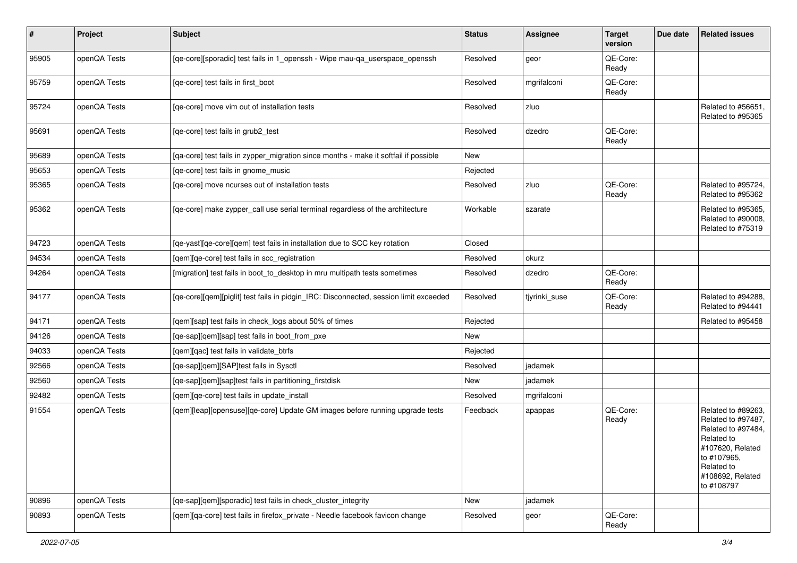| $\vert$ # | Project      | Subject                                                                               | <b>Status</b> | <b>Assignee</b> | <b>Target</b><br>version | Due date | <b>Related issues</b>                                                                                                                                           |
|-----------|--------------|---------------------------------------------------------------------------------------|---------------|-----------------|--------------------------|----------|-----------------------------------------------------------------------------------------------------------------------------------------------------------------|
| 95905     | openQA Tests | [qe-core][sporadic] test fails in 1_openssh - Wipe mau-qa_userspace_openssh           | Resolved      | geor            | QE-Core:<br>Ready        |          |                                                                                                                                                                 |
| 95759     | openQA Tests | [qe-core] test fails in first_boot                                                    | Resolved      | mgrifalconi     | QE-Core:<br>Ready        |          |                                                                                                                                                                 |
| 95724     | openQA Tests | [ge-core] move vim out of installation tests                                          | Resolved      | zluo            |                          |          | Related to #56651,<br>Related to #95365                                                                                                                         |
| 95691     | openQA Tests | [qe-core] test fails in grub2_test                                                    | Resolved      | dzedro          | QE-Core:<br>Ready        |          |                                                                                                                                                                 |
| 95689     | openQA Tests | [qa-core] test fails in zypper_migration since months - make it softfail if possible  | New           |                 |                          |          |                                                                                                                                                                 |
| 95653     | openQA Tests | [qe-core] test fails in gnome_music                                                   | Rejected      |                 |                          |          |                                                                                                                                                                 |
| 95365     | openQA Tests | [qe-core] move ncurses out of installation tests                                      | Resolved      | zluo            | QE-Core:<br>Ready        |          | Related to #95724,<br>Related to #95362                                                                                                                         |
| 95362     | openQA Tests | [qe-core] make zypper_call use serial terminal regardless of the architecture         | Workable      | szarate         |                          |          | Related to #95365,<br>Related to #90008,<br>Related to #75319                                                                                                   |
| 94723     | openQA Tests | [qe-yast][qe-core][qem] test fails in installation due to SCC key rotation            | Closed        |                 |                          |          |                                                                                                                                                                 |
| 94534     | openQA Tests | [qem][qe-core] test fails in scc_registration                                         | Resolved      | okurz           |                          |          |                                                                                                                                                                 |
| 94264     | openQA Tests | [migration] test fails in boot_to_desktop in mru multipath tests sometimes            | Resolved      | dzedro          | QE-Core:<br>Ready        |          |                                                                                                                                                                 |
| 94177     | openQA Tests | [qe-core][qem][piglit] test fails in pidgin_IRC: Disconnected, session limit exceeded | Resolved      | tjyrinki_suse   | QE-Core:<br>Ready        |          | Related to #94288.<br>Related to #94441                                                                                                                         |
| 94171     | openQA Tests | [qem][sap] test fails in check_logs about 50% of times                                | Rejected      |                 |                          |          | Related to #95458                                                                                                                                               |
| 94126     | openQA Tests | [qe-sap][qem][sap] test fails in boot_from_pxe                                        | New           |                 |                          |          |                                                                                                                                                                 |
| 94033     | openQA Tests | [gem][gac] test fails in validate btrfs                                               | Rejected      |                 |                          |          |                                                                                                                                                                 |
| 92566     | openQA Tests | [qe-sap][qem][SAP]test fails in Sysctl                                                | Resolved      | jadamek         |                          |          |                                                                                                                                                                 |
| 92560     | openQA Tests | [qe-sap][qem][sap]test fails in partitioning_firstdisk                                | New           | jadamek         |                          |          |                                                                                                                                                                 |
| 92482     | openQA Tests | [qem][qe-core] test fails in update_install                                           | Resolved      | mgrifalconi     |                          |          |                                                                                                                                                                 |
| 91554     | openQA Tests | [qem][leap][opensuse][qe-core] Update GM images before running upgrade tests          | Feedback      | apappas         | QE-Core:<br>Ready        |          | Related to #89263,<br>Related to #97487,<br>Related to #97484,<br>Related to<br>#107620, Related<br>to #107965,<br>Related to<br>#108692, Related<br>to #108797 |
| 90896     | openQA Tests | [qe-sap][qem][sporadic] test fails in check_cluster_integrity                         | New           | jadamek         |                          |          |                                                                                                                                                                 |
| 90893     | openQA Tests | [gem][ga-core] test fails in firefox private - Needle facebook favicon change         | Resolved      | geor            | QE-Core:<br>Ready        |          |                                                                                                                                                                 |